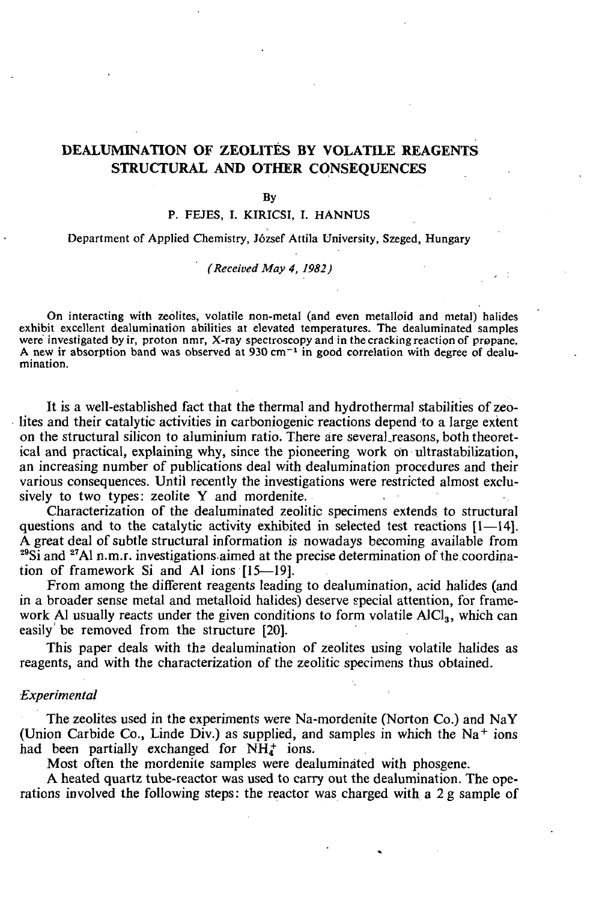# **DEALUMINATION OF ZEOLITES BY VOLATILE REAGENTS STRUCTURAL AND OTHER CONSEQUENCES**

By

### P. FEJES, I. KIRICSI, I. HANNUS

Department of Applied Chemistry, Jözsef Attila University, Szeged, Hungary

### *(Received May 4, 1982)*

On interacting with zeolites, volatile non-metal (and even metalloid and metal) halides exhibit excellent dealumination abilities at elevated temperatures. The dealuminated samples were investigated by ir, proton nmr, X-ray spectroscopy and in the cracking reaction of propane. A new ir absorption band was observed at  $\frac{930 \text{ cm}^{-1}}{1000 \text{ cm}^{-1}}$  in good correlation with degree of dealumination.

It is a well-established fact that the thermal and hydrothermal stabilities of zeolites and their catalytic activities in carboniogenic reactions depend to a large extent on the structural silicon to aluminium ratio. There are several reasons, both theoretical and practical, explaining why, since the pioneering work on ultrastabilization, an increasing number of publications deal with dealumination procedures and their various consequences. Until recently the investigations were restricted almost exclusively to two types: zeolite Y and mordenite.

Characterization of the dealuminated zeolitic specimens extends to structural questions and to the catalytic activity exhibited in selected test reactions  $[1]$ —14]. A great deal of subtle structural information is nowadays becoming available from <sup>29</sup>Si and <sup>27</sup>Al n.m.r. investigations aimed at the precise determination of the coordination of framework Si and A1 ions [15—19].

From among the different reagents leading to dealumination, acid halides (and in a broader sense metal and metalloid halides) deserve special attention, for framework Al usually reacts under the given conditions to form volatile  $AICI<sub>3</sub>$ , which can easily be removed from the structure [20].

This paper deals with the dealumination of zeolites using volatile halides as reagents, and with the characterization of the zeolitic specimens thus obtained.

## *Experimental*

The zeolites used in the experiments were Na-mordenite (Norton Co.) and NaY (Union Carbide Co., Linde Div.) as supplied, and samples in which the  $Na<sup>+</sup>$  ions had been partially exchanged for  $\overline{NH}_{d}^{+}$  ions.

Most often the mordenite samples were dealuminated with phosgene.

A heated quartz tube-reactor was used to carry out the dealumination. The operations involved the following steps: the reactor was charged with a 2g sample of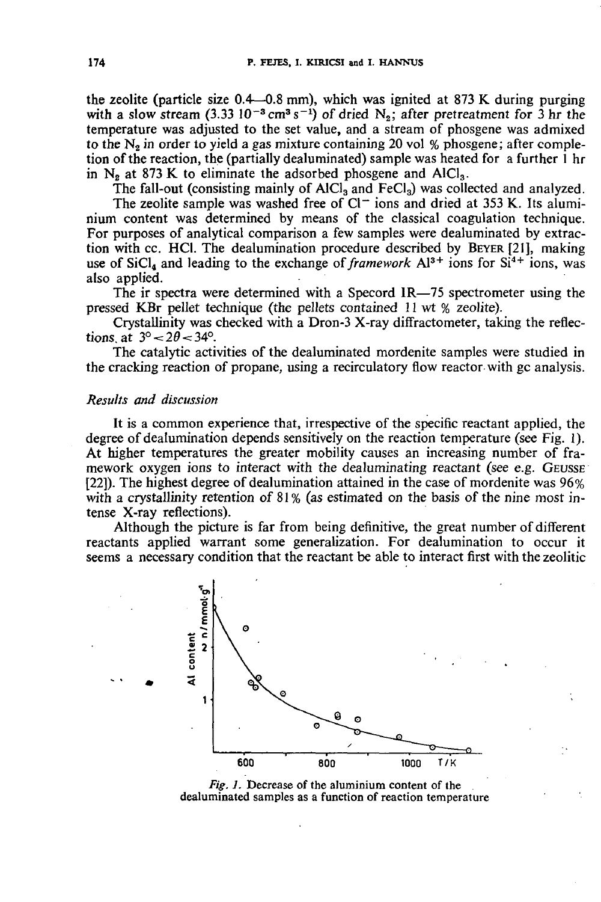the zeolite (particle size 0.4—0.8 mm), which was ignited at 873 K during purging with a slow stream (3.33  $10^{-3}$  cm<sup>3</sup> s<sup>-1</sup>) of dried N<sub>2</sub>; after pretreatment for  $\hat{3}$  hr the temperature was adjusted to the set value, and a stream of phosgene was admixed to the  $N_2$  in order to yield a gas mixture containing 20 vol % phosgene; after completion of the reaction, the (partially dealuminated) sample was heated for a further 1 hr in  $N_2$  at 873 K to eliminate the adsorbed phosgene and AlCl<sub>3</sub>.

The fall-out (consisting mainly of  $AICI_3$  and  $FeCl_3$ ) was collected and analyzed.

The zeolite sample was washed free of  $Cl^-$  ions and dried at 353 K. Its aluminium content was determined by means of the classical coagulation technique. For purposes of analytical comparison a few samples were dealuminated by extraction with cc. **HC1.** The dealumination procedure described by **BEYER [21],** making use of SiCl<sub>4</sub> and leading to the exchange of *framework*  $Al^{3+}$  ions for  $Si^{4+}$  ions, was also applied.

The ir spectra were determined with a Specord 1R—75 spectrometer using the pressed KBr pellet technique (the pellets contained 11 wt % zeolite).

Crystallinity was checked with a Dron-3 X-ray diffractometer, taking the reflections, at  $3^{\circ} < 20 < 34^{\circ}$ .

The catalytic activities of the dealuminated mordenite samples were studied in the cracking reaction of propane, using a recirculatory flow reactor with gc analysis.

## *Results and discussion*

It is a common experience that, irrespective of the specific reactant applied, the degree of dealumination depends sensitively on the reaction temperature (see Fig. 1). At higher temperatures the greater mobility causes an increasing number of framework oxygen ions to interact with the dealuminating reactant (see e.g. **GEUSSE**  [22]). The highest degree of dealumination attained in the case of mordenite was 96% with a crystallinity retention of 81% (as estimated on the basis of the nine most intense X-ray reflections).

Although the picture is far from being definitive, the great number of different reactants applied warrant some generalization. For dealumination to occur it seems a necessary condition that the reactant be able to interact first with the zeolitic



*Fig. 1.* Decrease of the aluminium content of the dealuminated samples as a function of reaction temperature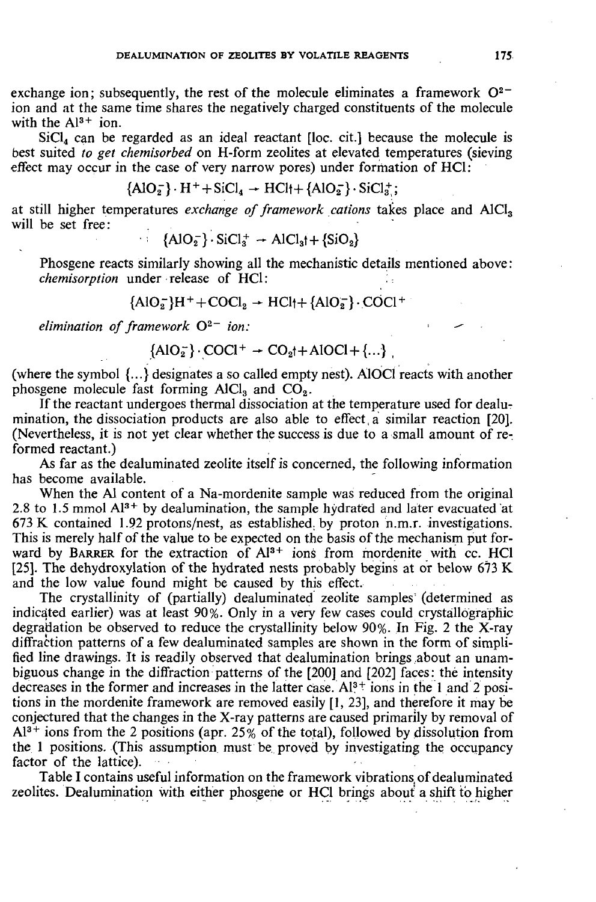exchange ion; subsequently, the rest of the molecule eliminates a framework  $O^{2-}$ ion and at the same time shares the negatively charged constituents of the molecule with the  $Al^{3+}$  ion.

 $SiCl<sub>4</sub>$  can be regarded as an ideal reactant [loc. cit.] because the molecule is best suited *to get chemisorbed* on H-form zeolites at elevated temperatures (sieving effect may occur in the case of very narrow pores) under formation of HCl:

$$
\{\text{AlO}_2^-\}\cdot H^+ + \text{SiCl}_4 \rightarrow \text{HCl}_1 + \{\text{AlO}_2^-\}\cdot \text{SiCl}_3^+;
$$

at still higher temperatures exchange of framework cations takes place and AlCl<sub>3</sub> will be set free:

$$
\{\text{AlO}_2^-\}\cdot \text{SiCl}_3^+ \rightarrow \text{AlCl}_3^+ + \{\text{SiO}_2\}
$$

Phosgene reacts similarly showing all the mechanistic details mentioned above : *chemisorption* under release of HCl:

$$
{\rm (AlO_2^-)H^+ + COCl_2 \rightarrow HCl_1 + {AlO_2^-} \cdot COCl^+}
$$

*elimination of framework*  $O<sup>2</sup>$  *ion: ion*:  $\frac{1}{2}$ 

$$
{\rm AD_2}^{\scriptscriptstyle{\bullet}}\}\cdot{\rm COCl^+}\rightarrow{\rm CO_2}^{\scriptscriptstyle{\bullet}}+{\rm AIOCl}+{\{\ldots\}}\ ,
$$

(where the symbol {...} designates a so called empty nest). AlOCl reacts with another phosgene molecule fast forming  $AICI<sub>3</sub>$  and  $CO<sub>2</sub>$ .

If the reactant undergoes thermal dissociation at the temperature used for dealumination, the dissociation products are also able to effect, a similar reaction [20]. (Nevertheless, it is not yet clear whether the success is due to a small amount of reformed reactant.)

As far as the dealuminated zeolite itself is concerned, the following information has become available.

When the A1 content of a Na-mordenite sample was reduced from the original 2.8 to 1.5 mmol Al<sup>3+</sup> by dealumination, the sample hydrated and later evacuated at 673 K contained 1.92 protons/nest, as established; by proton n.m.r. investigations. This is merely half of the value to be expected on the basis of the mechanism put forward by BARRER for the extraction of Al<sup>3+</sup> ions from mordenite with cc. HCl [25]. The dehydroxylation of the hydrated nests probably begins at or below 673 K and the low value found might be caused by this effect.

The crystallinity of (partially) dealuminated zeolite samples' (determined as indicated earlier) was at least 90%. Only in a very few cases could crystallographic degradation be observed to reduce the crystallinity below 90%. In Fig. 2 the X-ray diffraction patterns of a few dealuminated samples are shown in the form of simplified line drawings. It is readily observed that dealumination brings about an unambiguous change in the diffraction patterns of the [200] and [202] faces : thé intensity decreases in the former and increases in the latter case. Al<sup>3+</sup> ions in the 1 and 2 positions in the mordenite framework are removed easily [1, 23], and therefore it may be conjectured that the changes in the X-ray patterns are caused primarily by removal of Al<sup>3+</sup> ions from the 2 positions (apr. 25% of the total), followed by dissolution from the 1 positions. (This assumption must be. proved by investigating the occupancy factor of the lattice).

Table **I** contains useful information on the framework vibrations, of dealuminated zeolites. Dealumination with either phosgene or HC1 brings about' a shift to higher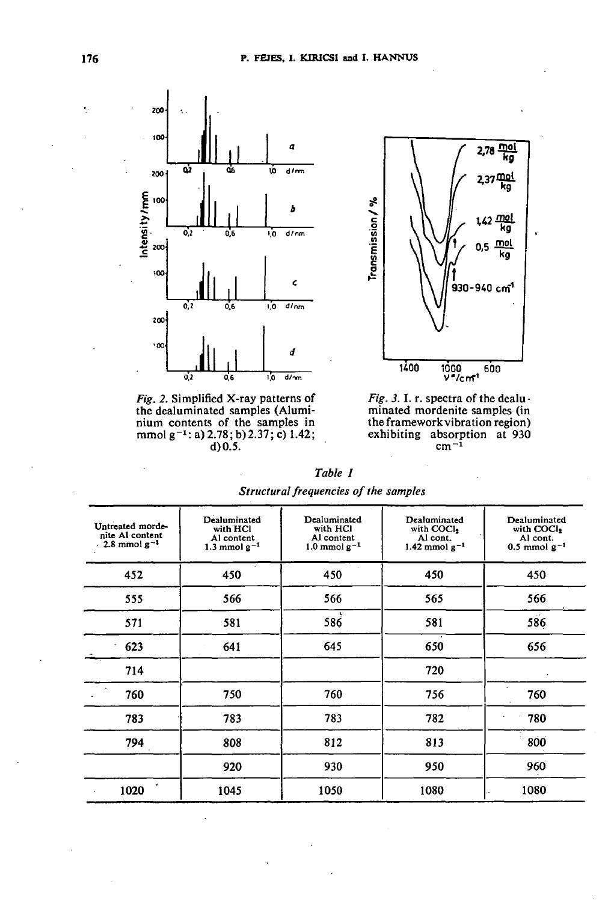

*Fig. 2.* Simplified X-ray patterns of the dealuminated samples (Aluminium contents of the samples in  $mmol g^{-1}$ : a) 2.78; b) 2.37; c) 1.42; d) 0.5.



*Fig. 3.*1, r. spectra of the dealuminated mordenite samples (in the framework vibration region) exhibiting absorption at 930  $\text{cm}^{-1}$ 

| Table I                               |
|---------------------------------------|
| Structural frequencies of the samples |

| Untreated morde-<br>nite Al content<br>$-2.8$ mmol $g^{-1}$ | Dealuminated<br>with HCl<br>Al content<br>1.3 mmol $g^{-1}$ | Dealuminated<br>with HCl<br>Al content<br>1.0 mmol $g^{-1}$ | Dealuminated<br>with COCl2<br>Al cont.<br>1.42 mmol $g^{-1}$ | Dealuminated<br>with COCl2<br>Al cont.<br>$0.5$ mmol $g^{-1}$ |
|-------------------------------------------------------------|-------------------------------------------------------------|-------------------------------------------------------------|--------------------------------------------------------------|---------------------------------------------------------------|
| 452                                                         | 450                                                         | 450                                                         | 450                                                          | 450                                                           |
| 555                                                         | 566                                                         | 566                                                         | 565                                                          | 566                                                           |
| 571                                                         | 581                                                         | 586                                                         | 581                                                          | 586                                                           |
| 623                                                         | 641                                                         | 645                                                         | 650                                                          | 656                                                           |
| 714                                                         |                                                             |                                                             | 720                                                          |                                                               |
| 760                                                         | 750                                                         | 760                                                         | 756                                                          | 760                                                           |
| 783                                                         | 783                                                         | 783                                                         | 782                                                          | 780                                                           |
| 794                                                         | 808                                                         | 812                                                         | 813                                                          | 800                                                           |
|                                                             | 920                                                         | 930                                                         | 950                                                          | 960                                                           |
| 1020                                                        | 1045                                                        | 1050                                                        | 1080                                                         | 1080                                                          |

÷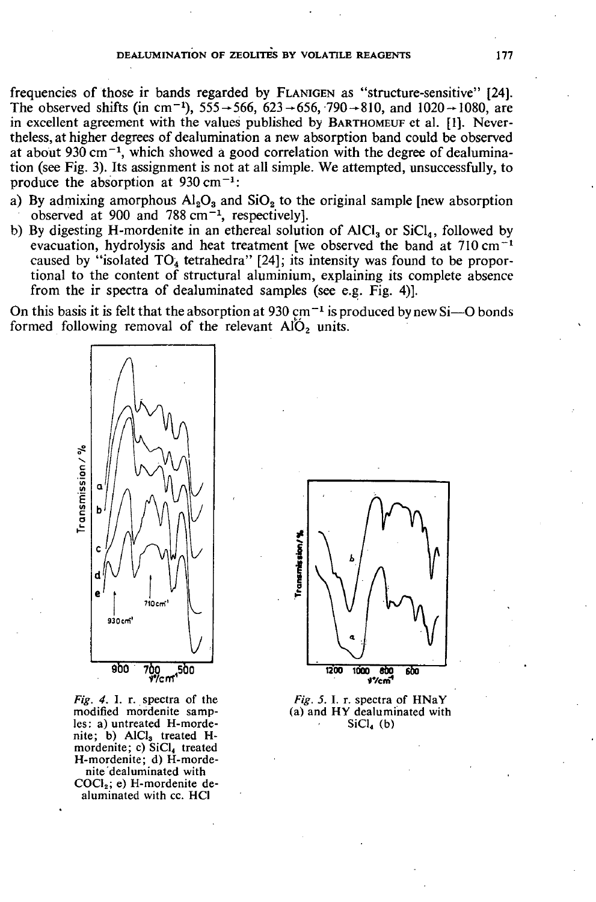frequencies of those ir bands regarded by **FLANIGEN** as "structure-sensitive" [24]. The observed shifts (in cm<sup>-1</sup>),  $555 \rightarrow 566$ ,  $623 \rightarrow 656$ ,  $790 \rightarrow 810$ , and  $1020 \rightarrow 1080$ , are in excellent agreement with the values published by BARTHOMEUF et al. [1]. Nevertheless, at higher degrees of dealumination a new absorption band could be observed at about 930 cm<sup>-1</sup>, which showed a good correlation with the degree of dealumination (see Fig. 3). Its assignment is not at all simple. We attempted, unsuccessfully, to produce the absorption at  $930 \text{ cm}^{-1}$ .

- a) By admixing amorphous  $Al_2O_3$  and  $SiO_2$  to the original sample [new absorption observed at 900 and 788  $cm^{-1}$ , respectively].
- b) By digesting H-mordenite in an ethereal solution of AlCl<sub>3</sub> or SiCl<sub>4</sub>, followed by evacuation, hydrolysis and heat treatment [we observed the band at  $710 \text{ cm}^{-1}$ caused by "isolated  $TO<sub>4</sub>$  tetrahedra" [24]; its intensity was found to be proportional to the content of structural aluminium, explaining its complete absence from the ir spectra of dealuminated samples (see e.g. Fig. 4)].

On this basis it is felt that the absorption at 930  $cm^{-1}$  is produced by new Si--O bonds formed following removal of the relevant  $AI\ddot{O}_2$  units.



*Fig. 4.* I. r. spectra of the modified mordenite samples: a) untreated H-mordenite; b)  $AICI<sub>3</sub>$  treated Hmordenite; c) SiCl<sub>4</sub> treated H-mordenite; d) H-mordenite dealuminated with  $COCl<sub>2</sub>$ ; e) H-mordenite dealuminated with cc. HC1



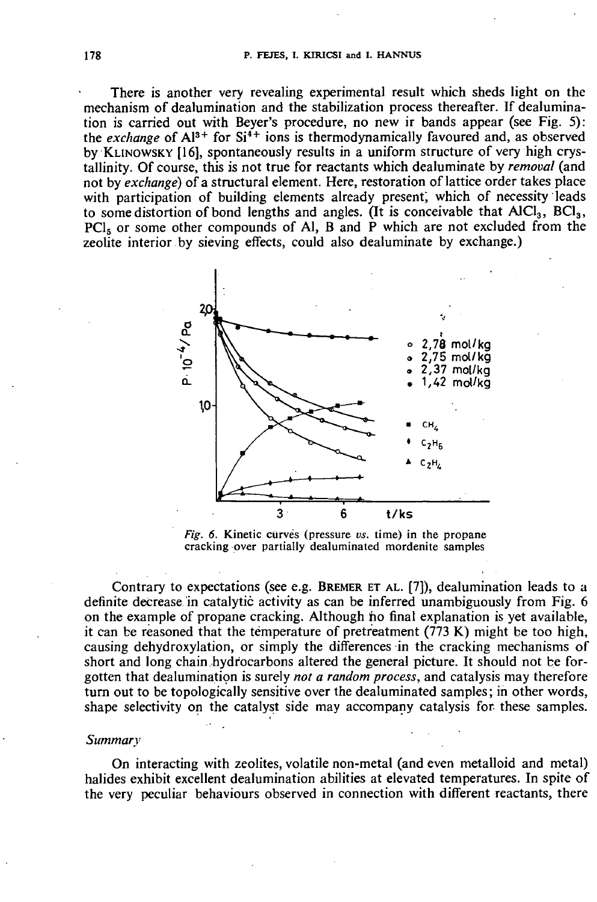There is another very revealing experimental result which sheds light on the mechanism of dealumination and the stabilization process thereafter. If dealumination is carried out with Beyer's procedure, no new ir bands appear (see Fig. 5): the *exchange* of Al<sup>3+</sup> for Si<sup>4+</sup> ions is thermodynamically favoured and, as observed by **KLINOWSKY** [16], spontaneously results in a uniform structure of very high crystallinity. Of course, this is not true for reactants which dealuminate by *removal* (and not by *exchange)* of a structural element. Here, restoration of lattice order takes place with participation of building elements already present, which of necessity leads to some distortion of bond lengths and angles. (It is conceivable that  $AICl<sub>3</sub>$ ,  $BCl<sub>3</sub>$ ,  $\text{PCl}_5$  or some other compounds of Al, B and P which are not excluded from the zeolite interior by sieving effects, could also dealuminate by exchange.)



*Fig. 6.* Kinetic curves (pressure *vs.* time) in the propane cracking over partially dealuminated mordenite samples

Contrary to expectations (see e.g. **BREMER ET AL**. [7]), dealumination leads to a definite decrease in catalytic activity as can be inferred unambiguously from Fig. 6 on the example of propane cracking. Although ho final explanation is yet available, it can be reasoned that the temperature of pretreatment (773 K) might be too high, causing dehydroxylation, or simply the differences in the cracking mechanisms of short and long chain, hydrocarbons altered the general picture. It should not be forgotten that dealumination is surely *not a random process,* and catalysis may therefore turn out to be topologically sensitive over the dealuminated samples; in other words, shape selectivity on the catalyst side may accompany catalysis for. these samples.

#### *Summary*

On interacting with zeolites, volatile non-metal (and even metalloid and metal) halides exhibit excellent dealumination abilities at elevated temperatures. In spite of the very peculiar behaviours observed in connection with different reactants, there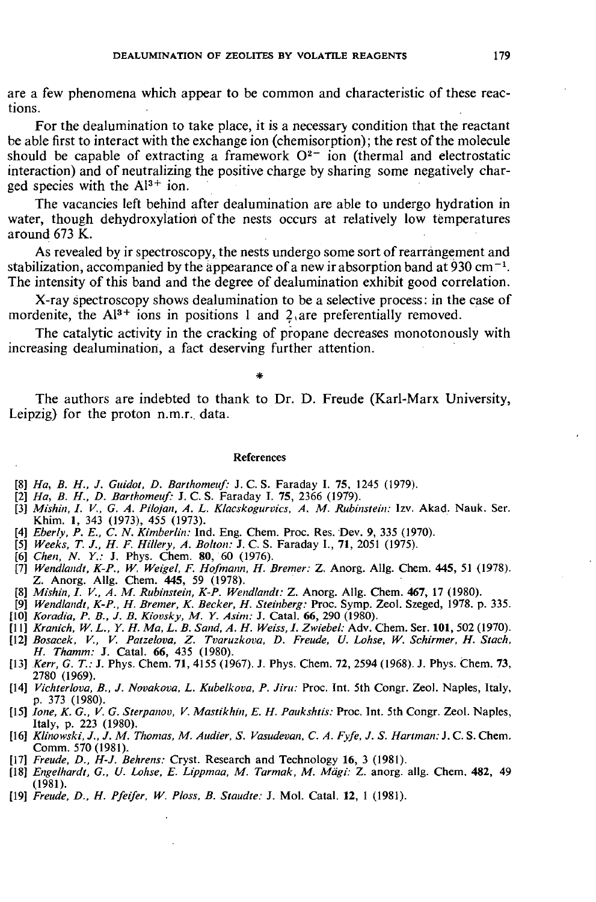are a few phenomena which appear to be common and characteristic of these reactions.

For the dealumination to take place, it is a necessary condition that the reactant be able first to interact with the exchange ion (chemisorption); the rest of the molecule should be capable of extracting a framework  $O^{2-}$  ion (thermal and electrostatic interaction) and of neutralizing the positive charge by sharing some negatively charged species with the  $Al^{3+}$  ion.

The vacancies left behind after dealumination are able to undergo hydration in water, though dehydroxylation of the nests occurs at relatively low temperatures around 673 K.

As revealed by ir spectroscopy, the nests undergo some sort of rearrangement and stabilization, accompanied by the appearance of a new ir absorption band at 930 cm<sup>-1</sup>. The intensity of this band and the degree of dealumination exhibit good correlation.

X-ray spectroscopy shows dealumination to be a selective process: in the case of mordenite, the  $Al^{3+}$  ions in positions 1 and 2, are preferentially removed.

The catalytic activity in the cracking of propane decreases monotonously with increasing dealumination, a fact deserving further attention.

\*

The authors are indebted to thank to Dr. D. Freude (Karl-Marx University, Leipzig) for the proton n.m.r. data.

### References

- [8] *Ha, B. H., J. Guidot, D. Barthomeuf:* J. C. S. Faraday I. 75, 1245 (1979).
- [2] *Ha, B. H., D. Barthomeuf:* J. C. S. Faraday I. 75, 2366 (1979).
- [3] *Mishin, I. V., G. A. Pilojan, A. L. Klacskogurvics, A. M. Rubinstein:* Izv. Akad. Nauk. Ser. Khim. 1, 343 (1973), 455 (1973).
- [4] *Eberly, P. E., C. N. Kimberlin:* Ind. Eng. Chem. Proc. Res. Dev. 9, 335 (1970).
- [5] *Weeks, T. J., H. F. Hillery, A. Bolton:* J. C. S. Faraday I., 71, 2051 (1975).
- [6] *Chen, N. Y.:* J. Phys. Chem. 80, 60 (1976).
- [7] *Wendlandt, K-P., W. Weigel, F. Hofmann, H. Bremer:* Z. Anorg. Allg. Chem. 445, 51 (1978). Z. Anorg. Allg. Chem. 445, 59 (1978).
- [8] *Mishin, I. V., A. M. Rubinstein, K-P. Wendlandt:* Z. Anorg. Allg. Chem. 467, 17 (1980).
- [9] *Wendlandt, K-P., H. Bremer, K. Becker, H. Steinberg:* Proc. Symp. Zeol. Szeged, 1978. p. 335.
- [10] Koradia, P. B., J. B. Kiovsky, M. Y. Asim: J. Catal. 66, 290 (1980). [11] *Kranich, W. L., Y. H. Ma, L. B. Sand, A. H. Weiss, I. Zwiebel:* Adv. Chem. Ser. 101, 502 (1970).
- [12] *Bosacek, V., V. Patzelova, Z. Tvaruzkova, D. Freude, U. Lohse, W. Schirmer, H. Stach, H. Thamm:* J. Catal. 66, 435 (1980).
- [13] *Kerr, G. T.:* J. Phys. Chem. 71, 4155 (1967). J. Phys. Chem. 72, 2594 (1968). J. Phys. Chem. 73, 2780 (1969).
- [14] *Vichterlova, B., J. Novakova, L. Kubelkova, P. Jiru:* Proc. Int. 5th Congr. Zeol. Naples, Italy, p. 373 (1980).
- [15] *lone, K. G., V. G. Sterpanov, V. Mastikhin, E. H. Paukshtis:* Proc. Int. 5th Congr. Zeol. Naples, Italy, p. 223 (1980).
- [16] *Klinowski, J., J. M. Thomas, M. Audier, S. Vasudevan, C. A. Fyfe, J. S. Hartman:}.* C. S. Chem. Comm. 570 (1981).
- [17] *Freude, D., H-J. Behrens:* Cryst. Research and Technology 16, 3 (1981).
- [18] *Engelhardt, G" U. Lohse, E. Lippmaa, M. Tarmak, M. Mägi:* Z. anorg. allg. Chem. 482, 49 (1981).
- [19] *Freude, D., H. Pfeifer, W. Ploss, B. Staudte:* J. Mol. Catal. 12, 1 (1981).